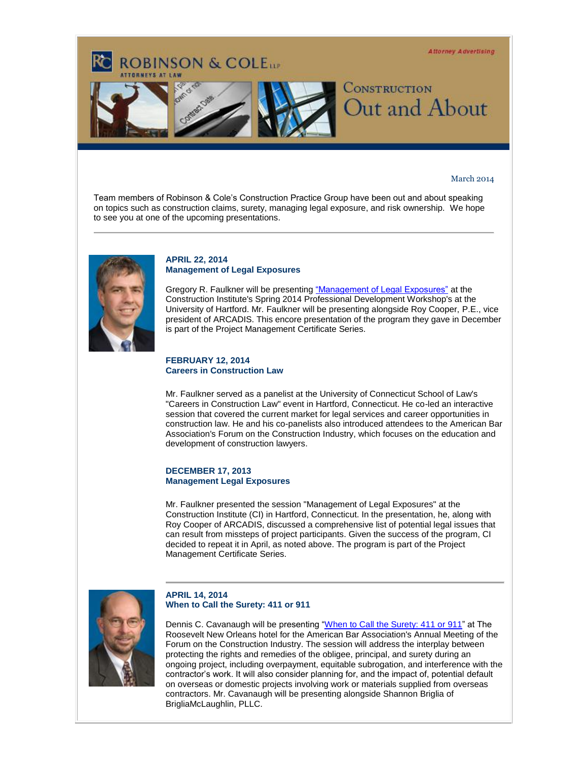**Attorney Advertising** 



# March 2014

Team members of Robinson & Cole's Construction Practice Group have been out and about speaking on topics such as construction claims, surety, managing legal exposure, and risk ownership. We hope to see you at one of the upcoming presentations.



### **APRIL 22, 2014 Management of Legal Exposures**

**ROBINSON & COLETT** 

Gregory R. Faulkner will be presentin[g "Management of Legal Exposures"](http://t2806904.invoc.us/track.aspx?id=402|2AD478|6F10|1E2|12E|0|1A6|1|3EFFD0EB&useSmaid=t&useCid=t&destination=http%3a%2f%2fwww.construction.org%2fclientuploads%2f0-14%2520Workshop%2f014SpringFINALreduced.pdf&dchk=63D1BE2E) at the Construction Institute's Spring 2014 Professional Development Workshop's at the University of Hartford. Mr. Faulkner will be presenting alongside Roy Cooper, P.E., vice president of ARCADIS. This encore presentation of the program they gave in December is part of the Project Management Certificate Series.

#### **FEBRUARY 12, 2014 Careers in Construction Law**

Mr. Faulkner served as a panelist at the University of Connecticut School of Law's "Careers in Construction Law" event in Hartford, Connecticut. He co-led an interactive session that covered the current market for legal services and career opportunities in construction law. He and his co-panelists also introduced attendees to the American Bar Association's Forum on the Construction Industry, which focuses on the education and development of construction lawyers.

## **DECEMBER 17, 2013 Management Legal Exposures**

Mr. Faulkner presented the session "Management of Legal Exposures" at the Construction Institute (CI) in Hartford, Connecticut. In the presentation, he, along with Roy Cooper of ARCADIS, discussed a comprehensive list of potential legal issues that can result from missteps of project participants. Given the success of the program, CI decided to repeat it in April, as noted above. The program is part of the Project Management Certificate Series.



# **APRIL 14, 2014 When to Call the Surety: 411 or 911**

Dennis C. Cavanaugh will be presenting ["When to Call the Surety: 411 or 911"](http://t2806904.invoc.us/track.aspx?id=402|2AD478|6F10|1E2|12E|0|1A7|1|3EFFD0EB&useSmaid=t&useCid=t&destination=http%3a%2f%2fwww.americanbar.org%2fgroups%2fconstruction_industry%2fevents_cle.html&dchk=7EF40FEA) at The Roosevelt New Orleans hotel for the American Bar Association's Annual Meeting of the Forum on the Construction Industry. The session will address the interplay between protecting the rights and remedies of the obligee, principal, and surety during an ongoing project, including overpayment, equitable subrogation, and interference with the contractor's work. It will also consider planning for, and the impact of, potential default on overseas or domestic projects involving work or materials supplied from overseas contractors. Mr. Cavanaugh will be presenting alongside Shannon Briglia of BrigliaMcLaughlin, PLLC.